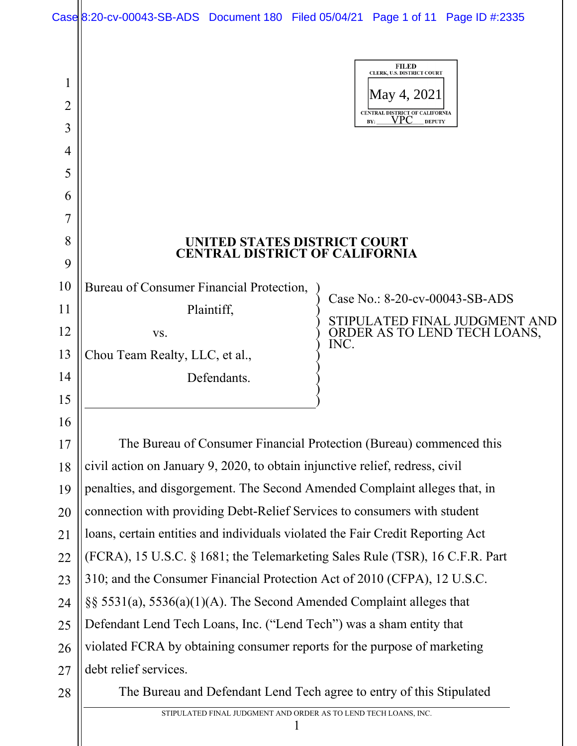|                                         | Case 8:20-cv-00043-SB-ADS Document 180 Filed 05/04/21 Page 1 of 11 Page ID #:2335 |                                                                                                                            |  |
|-----------------------------------------|-----------------------------------------------------------------------------------|----------------------------------------------------------------------------------------------------------------------------|--|
| $\mathbf 1$<br>$\overline{2}$<br>3<br>4 |                                                                                   | <b>FILED</b><br>CLERK, U.S. DISTRICT COURT<br>May 4, 2021<br>CENTRAL DISTRICT OF CALIFORNIA<br>VPC<br><b>DEPUTY</b><br>BY: |  |
| 5                                       |                                                                                   |                                                                                                                            |  |
| 6                                       |                                                                                   |                                                                                                                            |  |
| 7                                       |                                                                                   |                                                                                                                            |  |
| 8                                       | UNITED STATES DISTRICT COURT                                                      |                                                                                                                            |  |
| 9                                       | <b>CENTRAL DISTRICT OF CALIFORNIA</b>                                             |                                                                                                                            |  |
| 10                                      | Bureau of Consumer Financial Protection,                                          |                                                                                                                            |  |
| 11                                      | Plaintiff,                                                                        | Case No.: 8-20-cv-00043-SB-ADS                                                                                             |  |
| 12                                      | VS.                                                                               | STIPULATED FINAL JUDGMENT AND<br>ORDER AS TO LEND TECH LOANS,                                                              |  |
| 13                                      | Chou Team Realty, LLC, et al.,                                                    | INC.                                                                                                                       |  |
| 14                                      | Defendants.                                                                       |                                                                                                                            |  |
| 15                                      |                                                                                   |                                                                                                                            |  |
| 16                                      |                                                                                   |                                                                                                                            |  |
| 17                                      | The Bureau of Consumer Financial Protection (Bureau) commenced this               |                                                                                                                            |  |
| 18                                      | civil action on January 9, 2020, to obtain injunctive relief, redress, civil      |                                                                                                                            |  |
| 19                                      | penalties, and disgorgement. The Second Amended Complaint alleges that, in        |                                                                                                                            |  |
| 20                                      | connection with providing Debt-Relief Services to consumers with student          |                                                                                                                            |  |
| 21                                      | loans, certain entities and individuals violated the Fair Credit Reporting Act    |                                                                                                                            |  |
| 22                                      | (FCRA), 15 U.S.C. § 1681; the Telemarketing Sales Rule (TSR), 16 C.F.R. Part      |                                                                                                                            |  |
| 23                                      | 310; and the Consumer Financial Protection Act of 2010 (CFPA), 12 U.S.C.          |                                                                                                                            |  |
| 24                                      | $\S$ § 5531(a), 5536(a)(1)(A). The Second Amended Complaint alleges that          |                                                                                                                            |  |
| 25                                      | Defendant Lend Tech Loans, Inc. ("Lend Tech") was a sham entity that              |                                                                                                                            |  |
| 26                                      | violated FCRA by obtaining consumer reports for the purpose of marketing          |                                                                                                                            |  |
| 27                                      | debt relief services.                                                             |                                                                                                                            |  |
| 28                                      | The Bureau and Defendant Lend Tech agree to entry of this Stipulated              |                                                                                                                            |  |

STIPULATED FINAL JUDGMENT AND ORDER AS TO LEND TECH LOANS, INC.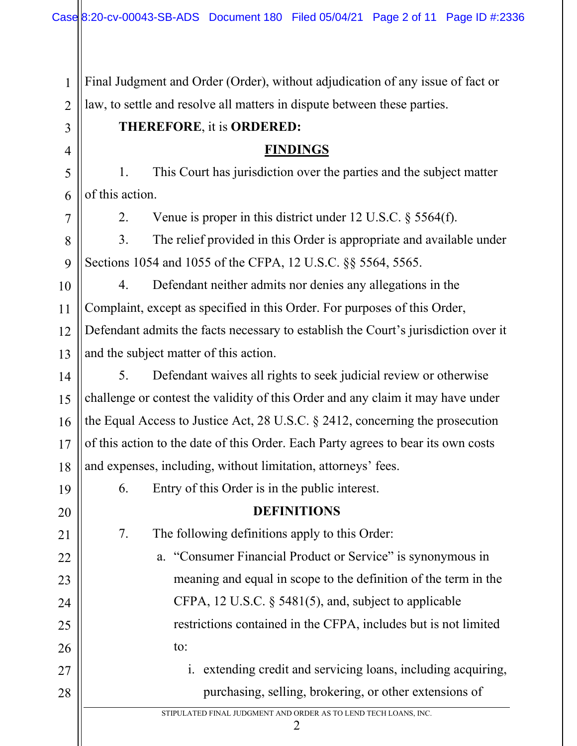2 Final Judgment and Order (Order), without adjudication of any issue of fact or law, to settle and resolve all matters in dispute between these parties.

## **THEREFORE**, it is **ORDERED:**

## **FINDINGS**

1. This Court has jurisdiction over the parties and the subject matter of this action.

1

3

4

5

6

7

8

9

19

20

21

22

23

24

25

26

27

28

2. Venue is proper in this district under 12 U.S.C. § 5564(f).

3. The relief provided in this Order is appropriate and available under Sections 1054 and 1055 of the CFPA, 12 U.S.C. §§ 5564, 5565.

10 11 12 13 4. Defendant neither admits nor denies any allegations in the Complaint, except as specified in this Order. For purposes of this Order, Defendant admits the facts necessary to establish the Court's jurisdiction over it and the subject matter of this action.

14 15 16 17 18 5. Defendant waives all rights to seek judicial review or otherwise challenge or contest the validity of this Order and any claim it may have under the Equal Access to Justice Act, 28 U.S.C. § 2412, concerning the prosecution of this action to the date of this Order. Each Party agrees to bear its own costs and expenses, including, without limitation, attorneys' fees.

6. Entry of this Order is in the public interest.

# **DEFINITIONS**

7. The following definitions apply to this Order:

a. "Consumer Financial Product or Service" is synonymous in meaning and equal in scope to the definition of the term in the CFPA, 12 U.S.C. § 5481(5), and, subject to applicable restrictions contained in the CFPA, includes but is not limited to:

i. extending credit and servicing loans, including acquiring, purchasing, selling, brokering, or other extensions of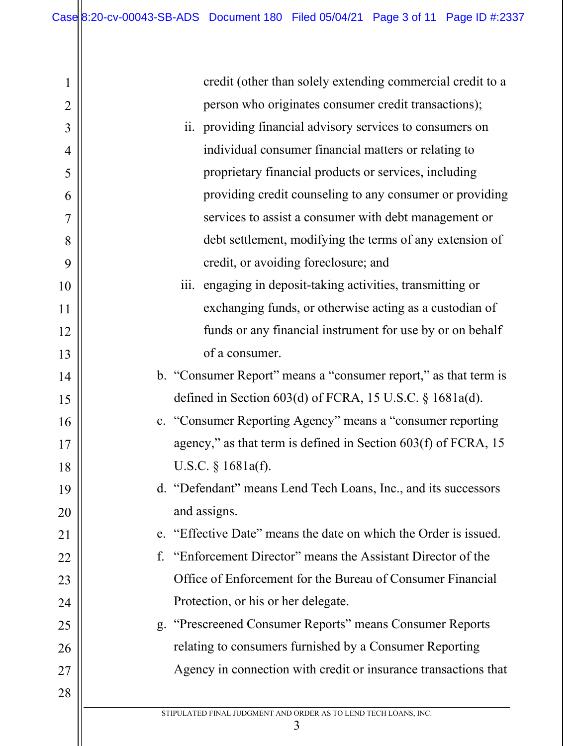| $\mathbf 1$    | credit (other than solely extending commercial credit to a       |  |
|----------------|------------------------------------------------------------------|--|
| $\overline{2}$ | person who originates consumer credit transactions);             |  |
| 3              | ii. providing financial advisory services to consumers on        |  |
| $\overline{4}$ | individual consumer financial matters or relating to             |  |
| 5              | proprietary financial products or services, including            |  |
| 6              | providing credit counseling to any consumer or providing         |  |
| 7              | services to assist a consumer with debt management or            |  |
| 8              | debt settlement, modifying the terms of any extension of         |  |
| 9              | credit, or avoiding foreclosure; and                             |  |
| 10             | iii. engaging in deposit-taking activities, transmitting or      |  |
| 11             | exchanging funds, or otherwise acting as a custodian of          |  |
| 12             | funds or any financial instrument for use by or on behalf        |  |
| 13             | of a consumer.                                                   |  |
| 14             | b. "Consumer Report" means a "consumer report," as that term is  |  |
| 15             | defined in Section $603(d)$ of FCRA, 15 U.S.C. § 1681a(d).       |  |
| 16             | c. "Consumer Reporting Agency" means a "consumer reporting       |  |
| 17             | agency," as that term is defined in Section 603(f) of FCRA, 15   |  |
| 18             | U.S.C. § 1681a(f).                                               |  |
| 19             | d. "Defendant" means Lend Tech Loans, Inc., and its successors   |  |
| 20             | and assigns.                                                     |  |
| 21             | e. "Effective Date" means the date on which the Order is issued. |  |
| 22             | "Enforcement Director" means the Assistant Director of the<br>f. |  |
| 23             | Office of Enforcement for the Bureau of Consumer Financial       |  |
| 24             | Protection, or his or her delegate.                              |  |
| 25             | g. "Prescreened Consumer Reports" means Consumer Reports         |  |
| 26             | relating to consumers furnished by a Consumer Reporting          |  |
| 27             | Agency in connection with credit or insurance transactions that  |  |
| 28             |                                                                  |  |
|                | STIPULATED FINAL JUDGMENT AND ORDER AS TO LEND TECH LOANS, INC.  |  |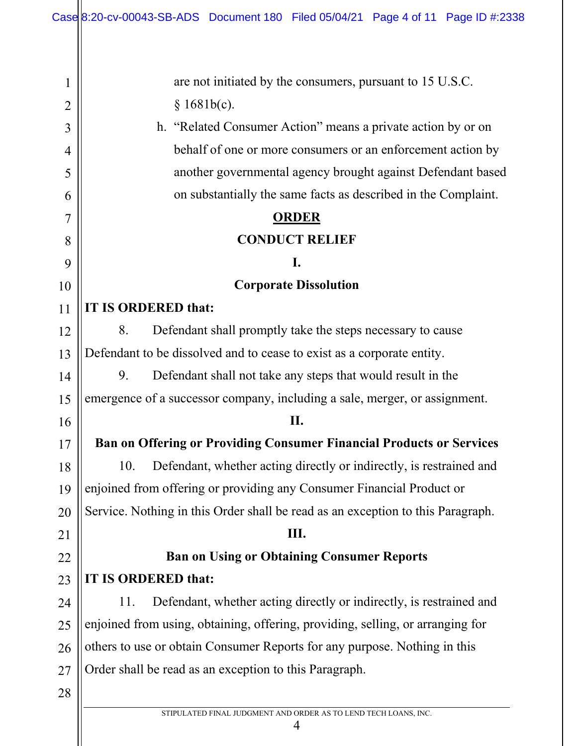| 1              | are not initiated by the consumers, pursuant to 15 U.S.C.                       |  |
|----------------|---------------------------------------------------------------------------------|--|
| $\overline{2}$ | § 1681b(c).                                                                     |  |
| 3              | h. "Related Consumer Action" means a private action by or on                    |  |
| 4              | behalf of one or more consumers or an enforcement action by                     |  |
| 5              | another governmental agency brought against Defendant based                     |  |
| 6              | on substantially the same facts as described in the Complaint.                  |  |
| $\overline{7}$ | <b>ORDER</b>                                                                    |  |
| 8              | <b>CONDUCT RELIEF</b>                                                           |  |
| 9              | I.                                                                              |  |
| 10             | <b>Corporate Dissolution</b>                                                    |  |
| 11             | IT IS ORDERED that:                                                             |  |
| 12             | 8.<br>Defendant shall promptly take the steps necessary to cause                |  |
| 13             | Defendant to be dissolved and to cease to exist as a corporate entity.          |  |
| 14             | 9.<br>Defendant shall not take any steps that would result in the               |  |
| 15             | emergence of a successor company, including a sale, merger, or assignment.      |  |
| 16             | II.                                                                             |  |
| 17             | Ban on Offering or Providing Consumer Financial Products or Services            |  |
| 18             | Defendant, whether acting directly or indirectly, is restrained and<br>10.      |  |
| 19             | enjoined from offering or providing any Consumer Financial Product or           |  |
| 20             | Service. Nothing in this Order shall be read as an exception to this Paragraph. |  |
| 21             | Ш.                                                                              |  |
| 22             | <b>Ban on Using or Obtaining Consumer Reports</b>                               |  |
| 23             | IT IS ORDERED that:                                                             |  |
| 24             | Defendant, whether acting directly or indirectly, is restrained and<br>11.      |  |
| 25             | enjoined from using, obtaining, offering, providing, selling, or arranging for  |  |
| 26             | others to use or obtain Consumer Reports for any purpose. Nothing in this       |  |
| 27             | Order shall be read as an exception to this Paragraph.                          |  |
| 28             |                                                                                 |  |
|                | STIPULATED FINAL JUDGMENT AND ORDER AS TO LEND TECH LOANS, INC.                 |  |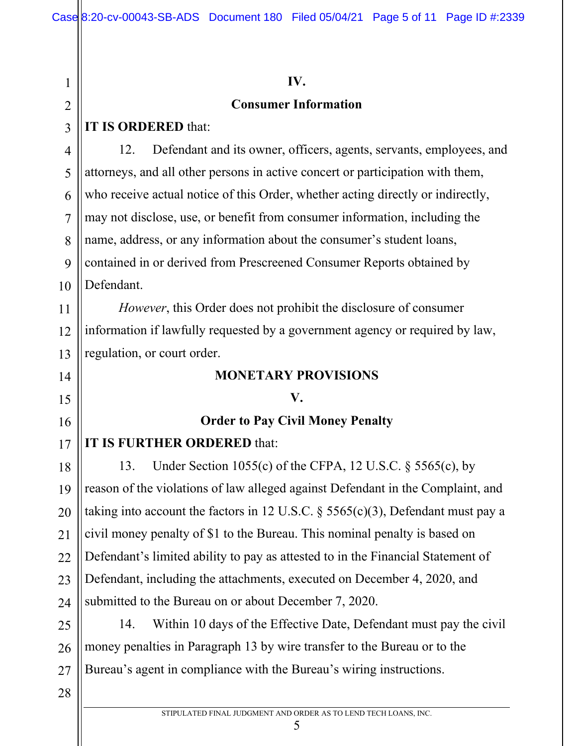1 2 3 4 5 6 7 8 9 10 11 12 13 14 15 16 17 18 19 20 21 22 23 24 25 26 27 28 **IV. Consumer Information IT IS ORDERED** that: 12. Defendant and its owner, officers, agents, servants, employees, and attorneys, and all other persons in active concert or participation with them, who receive actual notice of this Order, whether acting directly or indirectly, may not disclose, use, or benefit from consumer information, including the name, address, or any information about the consumer's student loans, contained in or derived from Prescreened Consumer Reports obtained by Defendant. *However*, this Order does not prohibit the disclosure of consumer information if lawfully requested by a government agency or required by law, regulation, or court order. **MONETARY PROVISIONS V. Order to Pay Civil Money Penalty IT IS FURTHER ORDERED** that: 13. Under Section 1055(c) of the CFPA, 12 U.S.C. § 5565(c), by reason of the violations of law alleged against Defendant in the Complaint, and taking into account the factors in 12 U.S.C.  $\S$  5565(c)(3), Defendant must pay a civil money penalty of \$1 to the Bureau. This nominal penalty is based on Defendant's limited ability to pay as attested to in the Financial Statement of Defendant, including the attachments, executed on December 4, 2020, and submitted to the Bureau on or about December 7, 2020. 14. Within 10 days of the Effective Date, Defendant must pay the civil money penalties in Paragraph 13 by wire transfer to the Bureau or to the Bureau's agent in compliance with the Bureau's wiring instructions.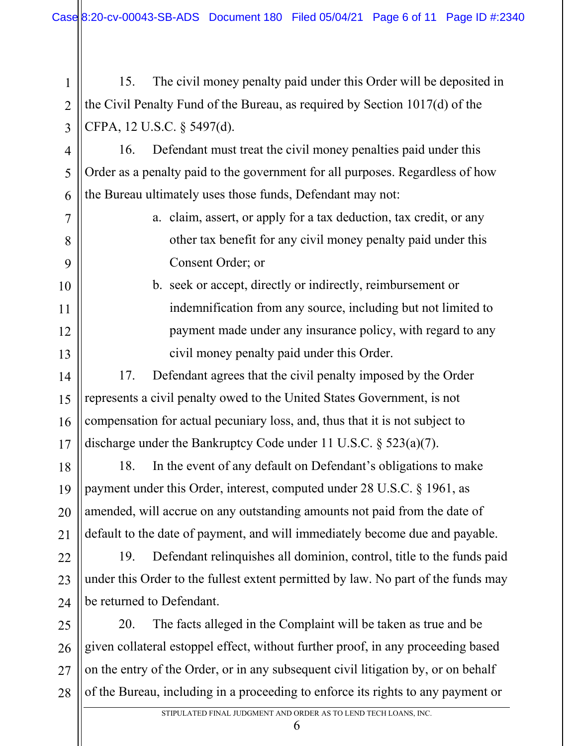2 3 15. The civil money penalty paid under this Order will be deposited in the Civil Penalty Fund of the Bureau, as required by Section 1017(d) of the CFPA, 12 U.S.C. § 5497(d).

1

5

7

8

9

10

11

12

13

14

15

16

17

18

19

20

21

4 6 16. Defendant must treat the civil money penalties paid under this Order as a penalty paid to the government for all purposes. Regardless of how the Bureau ultimately uses those funds, Defendant may not:

> a. claim, assert, or apply for a tax deduction, tax credit, or any other tax benefit for any civil money penalty paid under this Consent Order; or

b. seek or accept, directly or indirectly, reimbursement or indemnification from any source, including but not limited to payment made under any insurance policy, with regard to any civil money penalty paid under this Order.

17. Defendant agrees that the civil penalty imposed by the Order represents a civil penalty owed to the United States Government, is not compensation for actual pecuniary loss, and, thus that it is not subject to discharge under the Bankruptcy Code under 11 U.S.C. § 523(a)(7).

18. In the event of any default on Defendant's obligations to make payment under this Order, interest, computed under 28 U.S.C. § 1961, as amended, will accrue on any outstanding amounts not paid from the date of default to the date of payment, and will immediately become due and payable.

22 23 24 19. Defendant relinquishes all dominion, control, title to the funds paid under this Order to the fullest extent permitted by law. No part of the funds may be returned to Defendant.

25 26 27 28 20. The facts alleged in the Complaint will be taken as true and be given collateral estoppel effect, without further proof, in any proceeding based on the entry of the Order, or in any subsequent civil litigation by, or on behalf of the Bureau, including in a proceeding to enforce its rights to any payment or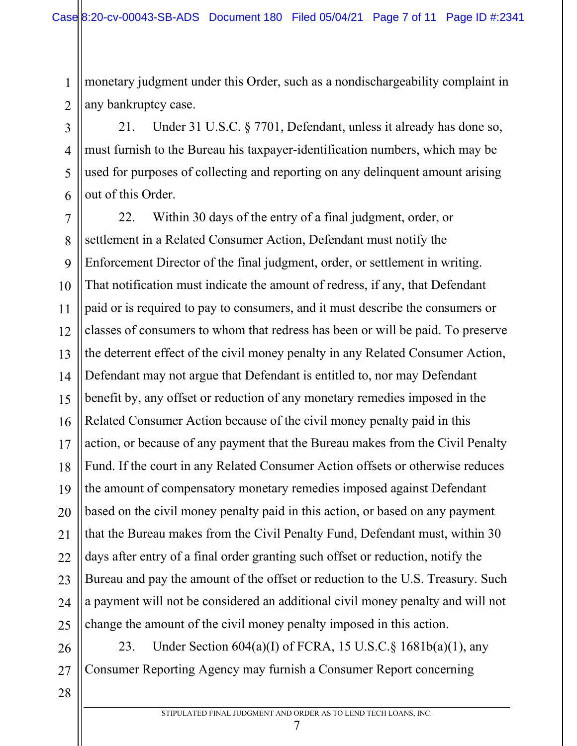monetary judgment under this Order, such as a nondischargeability complaint in any bankruptcy case.

21. Under 31 U.S.C. § 7701, Defendant, unless it already has done so, must furnish to the Bureau his taxpayer-identification numbers, which may be used for purposes of collecting and reporting on any delinquent amount arising out of this Order.

7 8 9 10 11 12 13 14 15 16 17 18 19 20 21 22 23 24 25 22. Within 30 days of the entry of a final judgment, order, or settlement in a Related Consumer Action, Defendant must notify the Enforcement Director of the final judgment, order, or settlement in writing. That notification must indicate the amount of redress, if any, that Defendant paid or is required to pay to consumers, and it must describe the consumers or classes of consumers to whom that redress has been or will be paid. To preserve the deterrent effect of the civil money penalty in any Related Consumer Action, Defendant may not argue that Defendant is entitled to, nor may Defendant benefit by, any offset or reduction of any monetary remedies imposed in the Related Consumer Action because of the civil money penalty paid in this action, or because of any payment that the Bureau makes from the Civil Penalty Fund. If the court in any Related Consumer Action offsets or otherwise reduces the amount of compensatory monetary remedies imposed against Defendant based on the civil money penalty paid in this action, or based on any payment that the Bureau makes from the Civil Penalty Fund, Defendant must, within 30 days after entry of a final order granting such offset or reduction, notify the Bureau and pay the amount of the offset or reduction to the U.S. Treasury. Such a payment will not be considered an additional civil money penalty and will not change the amount of the civil money penalty imposed in this action.

26 27 23. Under Section 604(a)(I) of FCRA, 15 U.S.C.§ 1681b(a)(1), any Consumer Reporting Agency may furnish a Consumer Report concerning

28

1

2

3

4

5

6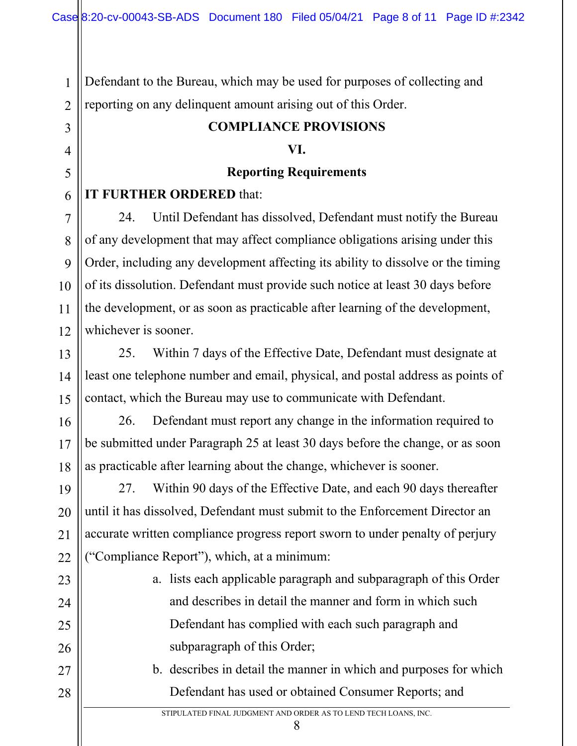Defendant to the Bureau, which may be used for purposes of collecting and reporting on any delinquent amount arising out of this Order.

### **COMPLIANCE PROVISIONS**

#### **VI.**

### **Reporting Requirements**

### **IT FURTHER ORDERED** that:

1

2

3

4

5

6

7

8

9

10

11

12

13

14

15

16

17

18

19

20

21

22

23

24

25

26

27

28

24. Until Defendant has dissolved, Defendant must notify the Bureau of any development that may affect compliance obligations arising under this Order, including any development affecting its ability to dissolve or the timing of its dissolution. Defendant must provide such notice at least 30 days before the development, or as soon as practicable after learning of the development, whichever is sooner.

25. Within 7 days of the Effective Date, Defendant must designate at least one telephone number and email, physical, and postal address as points of contact, which the Bureau may use to communicate with Defendant.

26. Defendant must report any change in the information required to be submitted under Paragraph 25 at least 30 days before the change, or as soon as practicable after learning about the change, whichever is sooner.

27. Within 90 days of the Effective Date, and each 90 days thereafter until it has dissolved, Defendant must submit to the Enforcement Director an accurate written compliance progress report sworn to under penalty of perjury ("Compliance Report"), which, at a minimum:

- a. lists each applicable paragraph and subparagraph of this Order and describes in detail the manner and form in which such Defendant has complied with each such paragraph and subparagraph of this Order;
- b. describes in detail the manner in which and purposes for which Defendant has used or obtained Consumer Reports; and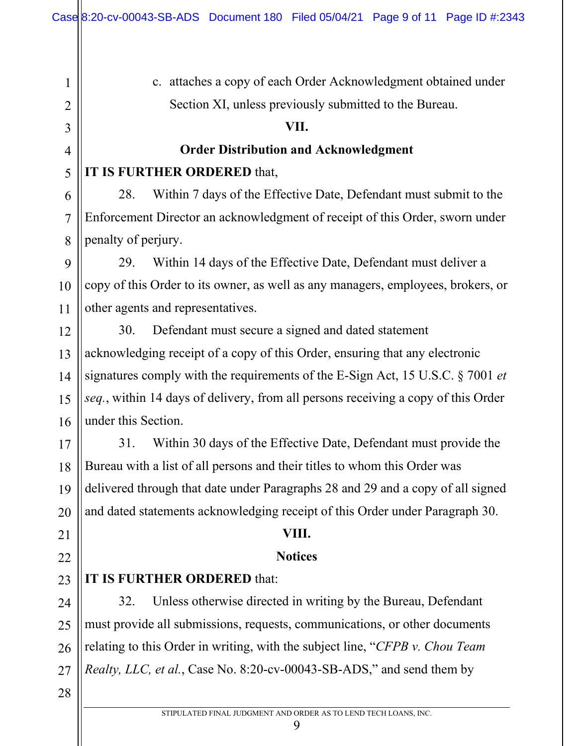1

2

3

4

5

6

7

8

9

10

11

12

13

14

15

16

17

18

19

20

21

22

23

24

25

26

27

28

c. attaches a copy of each Order Acknowledgment obtained under Section XI, unless previously submitted to the Bureau. **VII. Order Distribution and Acknowledgment IT IS FURTHER ORDERED** that, 28. Within 7 days of the Effective Date, Defendant must submit to the Enforcement Director an acknowledgment of receipt of this Order, sworn under penalty of perjury. 29. Within 14 days of the Effective Date, Defendant must deliver a copy of this Order to its owner, as well as any managers, employees, brokers, or other agents and representatives. 30. Defendant must secure a signed and dated statement acknowledging receipt of a copy of this Order, ensuring that any electronic signatures comply with the requirements of the E-Sign Act, 15 U.S.C. § 7001 *et seq.*, within 14 days of delivery, from all persons receiving a copy of this Order under this Section. 31. Within 30 days of the Effective Date, Defendant must provide the Bureau with a list of all persons and their titles to whom this Order was delivered through that date under Paragraphs 28 and 29 and a copy of all signed and dated statements acknowledging receipt of this Order under Paragraph 30. **VIII. Notices IT IS FURTHER ORDERED** that: 32. Unless otherwise directed in writing by the Bureau, Defendant must provide all submissions, requests, communications, or other documents relating to this Order in writing, with the subject line, "*CFPB v. Chou Team Realty, LLC, et al.*, Case No. 8:20-cv-00043-SB-ADS," and send them by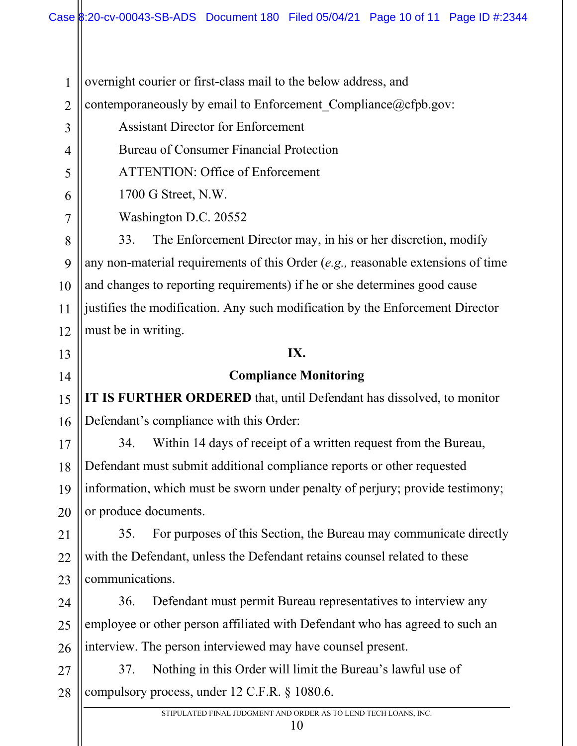overnight courier or first-class mail to the below address, and

2 contemporaneously by email to Enforcement Compliance@cfpb.gov:

Assistant Director for Enforcement

Bureau of Consumer Financial Protection

ATTENTION: Office of Enforcement

1700 G Street, N.W.

Washington D.C. 20552

8 9 10 11 12 33. The Enforcement Director may, in his or her discretion, modify any non-material requirements of this Order (*e.g.,* reasonable extensions of time and changes to reporting requirements) if he or she determines good cause justifies the modification. Any such modification by the Enforcement Director must be in writing.

## **IX.**

# **Compliance Monitoring**

**IT IS FURTHER ORDERED** that, until Defendant has dissolved, to monitor Defendant's compliance with this Order:

34. Within 14 days of receipt of a written request from the Bureau, Defendant must submit additional compliance reports or other requested information, which must be sworn under penalty of perjury; provide testimony; or produce documents.

35. For purposes of this Section, the Bureau may communicate directly with the Defendant, unless the Defendant retains counsel related to these communications.

36. Defendant must permit Bureau representatives to interview any employee or other person affiliated with Defendant who has agreed to such an interview. The person interviewed may have counsel present.

37. Nothing in this Order will limit the Bureau's lawful use of compulsory process, under 12 C.F.R. § 1080.6.

1

3

4

5

6

7

13

14